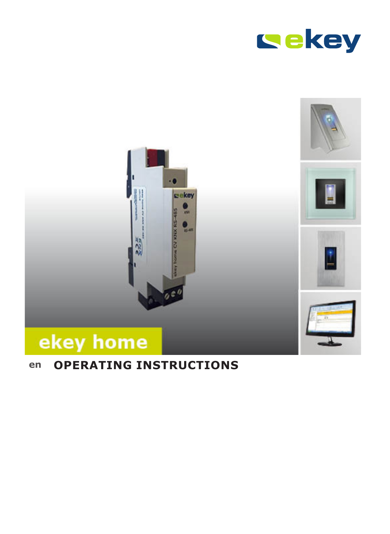



# **en OPERATING INSTRUCTIONS**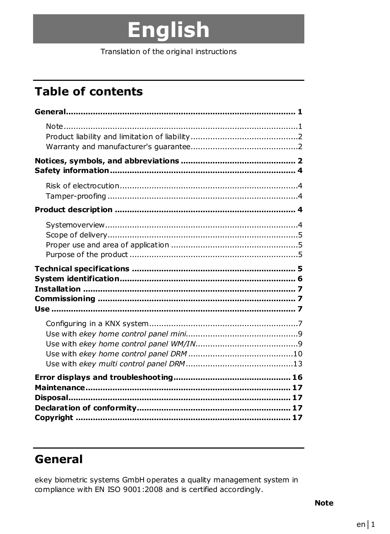# English

Translation of the original instructions

# **Table of contents**

### General

ekey biometric systems GmbH operates a quality management system in compliance with EN ISO 9001:2008 and is certified accordingly.

**Note**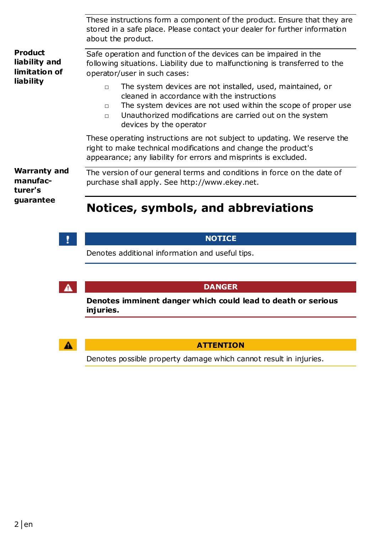|                                                        | These instructions form a component of the product. Ensure that they are<br>stored in a safe place. Please contact your dealer for further information<br>about the product.                                                                                                                     |  |  |
|--------------------------------------------------------|--------------------------------------------------------------------------------------------------------------------------------------------------------------------------------------------------------------------------------------------------------------------------------------------------|--|--|
| Product<br>liability and<br>limitation of<br>liability | Safe operation and function of the devices can be impaired in the<br>following situations. Liability due to malfunctioning is transferred to the<br>operator/user in such cases:                                                                                                                 |  |  |
|                                                        | The system devices are not installed, used, maintained, or<br>$\Box$<br>cleaned in accordance with the instructions<br>The system devices are not used within the scope of proper use<br>$\Box$<br>Unauthorized modifications are carried out on the system<br>$\Box$<br>devices by the operator |  |  |
|                                                        | These operating instructions are not subject to updating. We reserve the<br>right to make technical modifications and change the product's<br>appearance; any liability for errors and misprints is excluded.                                                                                    |  |  |
| <b>Warranty and</b><br>manufac-<br>turer's             | The version of our general terms and conditions in force on the date of<br>purchase shall apply. See http://www.ekey.net.                                                                                                                                                                        |  |  |
| guarantee                                              | Notices, symbols, and abbreviations                                                                                                                                                                                                                                                              |  |  |

### $\mathcal{X}$

### **NOTICE**

Denotes additional information and useful tips.

 $\Lambda$ 

#### **DANGER**

**Denotes imminent danger which could lead to death or serious injuries.** 



#### **ATTENTION**

Denotes possible property damage which cannot result in injuries.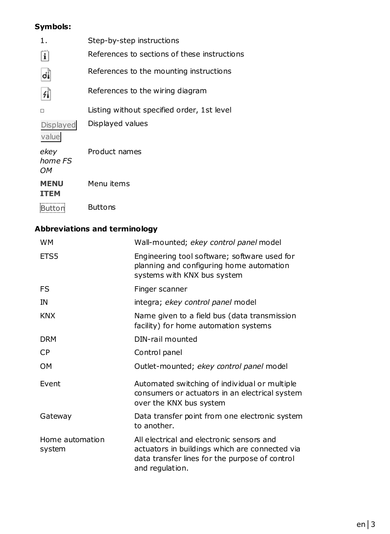### **Symbols:**

| 1.                         | Step-by-step instructions                    |
|----------------------------|----------------------------------------------|
| i                          | References to sections of these instructions |
| dį                         | References to the mounting instructions      |
| 41                         | References to the wiring diagram             |
| п                          | Listing without specified order, 1st level   |
| Displayed<br>value         | Displayed values                             |
| ekev<br>home FS<br>OМ      | Product names                                |
| <b>MENU</b><br><b>TTEM</b> | Menu items                                   |
|                            | <b>Buttons</b>                               |

### **Abbreviations and terminology**

| <b>WM</b>                 | Wall-mounted; ekey control panel model                                                                                                                           |  |
|---------------------------|------------------------------------------------------------------------------------------------------------------------------------------------------------------|--|
| ETS5                      | Engineering tool software; software used for<br>planning and configuring home automation<br>systems with KNX bus system                                          |  |
| FS                        | Finger scanner                                                                                                                                                   |  |
| IN                        | integra; ekey control panel model                                                                                                                                |  |
| <b>KNX</b>                | Name given to a field bus (data transmission<br>facility) for home automation systems                                                                            |  |
| <b>DRM</b>                | DIN-rail mounted                                                                                                                                                 |  |
| СP                        | Control panel                                                                                                                                                    |  |
| OM                        | Outlet-mounted; ekey control panel model                                                                                                                         |  |
| Event                     | Automated switching of individual or multiple<br>consumers or actuators in an electrical system<br>over the KNX bus system                                       |  |
| Gateway                   | Data transfer point from one electronic system<br>to another.                                                                                                    |  |
| Home automation<br>system | All electrical and electronic sensors and<br>actuators in buildings which are connected via<br>data transfer lines for the purpose of control<br>and regulation. |  |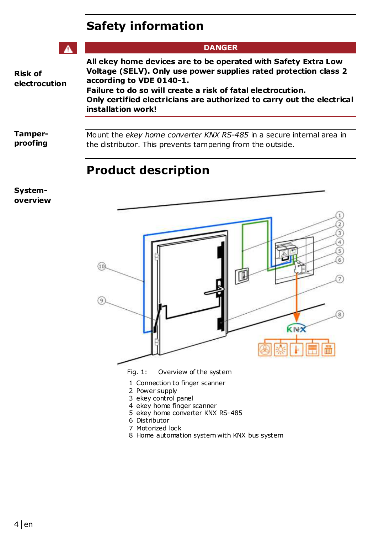### **Safety information**

|                          | <b>DANGER</b>                                                                                                                                                                                                                                                                                                                 |  |  |
|--------------------------|-------------------------------------------------------------------------------------------------------------------------------------------------------------------------------------------------------------------------------------------------------------------------------------------------------------------------------|--|--|
| Risk of<br>electrocution | All ekey home devices are to be operated with Safety Extra Low<br>Voltage (SELV). Only use power supplies rated protection class 2<br>according to VDE 0140-1.<br>Failure to do so will create a risk of fatal electrocution.<br>Only certified electricians are authorized to carry out the electrical<br>installation work! |  |  |
| Tamper-<br>proofing      | Mount the ekey home converter KNX RS-485 in a secure internal area in<br>the distributor. This prevents tampering from the outside.                                                                                                                                                                                           |  |  |

### **Product description**

**Systemoverview** 



- Fig. 1: Overview of the system
- 1 Connection to finger scanner
- 2 Power supply
- 3 ekey control panel
- 4 ekey home finger scanner
- 5 ekey home converter KNX RS-485
- 6 Distributor
- 7 Motorized lock
- 8 Home automation system with KNX bus system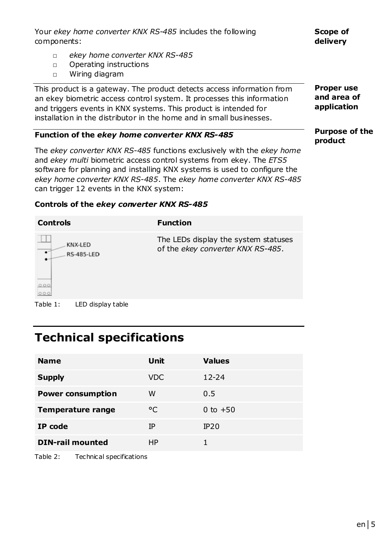Your *ekey home converter KNX RS-485* includes the following components:

**Scope of delivery** 

- □ *ekey home converter KNX RS-485*
- □ Operating instructions
- □ Wiring diagram

This product is a gateway. The product detects access information from an ekey biometric access control system. It processes this information and triggers events in KNX systems. This product is intended for installation in the distributor in the home and in small businesses.

#### **Function of the** *ekey home converter KNX RS-485*

The *ekey converter KNX RS-485* functions exclusively with the *ekey home* and *ekey multi* biometric access control systems from ekey. The *ETS5* software for planning and installing KNX systems is used to configure the *ekey home converter KNX RS-485*. The *ekey home converter KNX RS-485* can trigger 12 events in the KNX system:

**Proper use and area of application** 

**Purpose of the product** 

#### **Controls of the** *ekey converter KNX RS-485*

| <b>Controls</b> |                              | <b>Function</b>                                                           |
|-----------------|------------------------------|---------------------------------------------------------------------------|
| ٠<br>000<br>000 | KNX-LED<br><b>RS-485-LED</b> | The LEDs display the system statuses<br>of the ekey converter KNX RS-485. |
| Table 1:        | LED display table            |                                                                           |

### **Technical specifications**

| <b>Name</b>              | Unit       | <b>Values</b> |
|--------------------------|------------|---------------|
| <b>Supply</b>            | <b>VDC</b> | $12 - 24$     |
| <b>Power consumption</b> | w          | 0.5           |
| Temperature range        | °C         | 0 to $+50$    |
| IP code                  | ΙP         | IP20          |
| <b>DIN-rail mounted</b>  | HP         |               |

Table 2: Technical specifications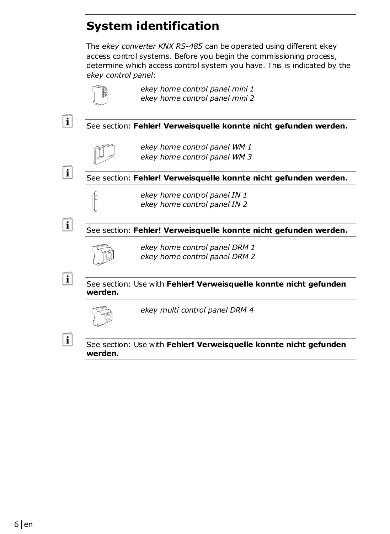# **System identification**

The *ekey converter KNX RS-485* can be operated using different ekey access control systems. Before you begin the commissioning process, determine which access control system you have. This is indicated by the *ekey control panel*:



*ekey home control panel mini 1 ekey home control panel mini 2* 

#### See section: **Fehler! Verweisquelle konnte nicht gefunden werden.**



*ekey home control panel WM 1 ekey home control panel WM 3* 

i

 $\mathbf{i}$ 

i

 $\mathbf{i}$ 

 $\mathbf{i}$ 

See section: **Fehler! Verweisquelle konnte nicht gefunden werden.**



#### See section: **Fehler! Verweisquelle konnte nicht gefunden werden.**



*ekey home control panel DRM 1 ekey home control panel DRM 2* 

See section: Use with **Fehler! Verweisquelle konnte nicht gefunden werden.**



*ekey multi control panel DRM 4*

See section: Use with **Fehler! Verweisquelle konnte nicht gefunden werden.**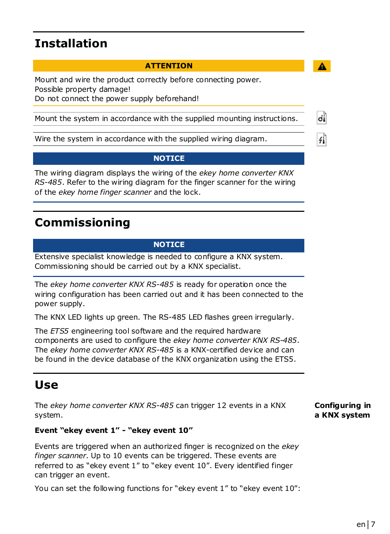### **Installation**

#### **ATTENTION**

Mount and wire the product correctly before connecting power. Possible property damage! Do not connect the power supply beforehand!

Mount the system in accordance with the supplied mounting instructions.

Wire the system in accordance with the supplied wiring diagram.

#### **NOTICE**

The wiring diagram displays the wiring of the *ekey home converter KNX RS-485*. Refer to the wiring diagram for the finger scanner for the wiring of the *ekey home finger scanner* and the lock.

### **Commissioning**

#### **NOTICE**

Extensive specialist knowledge is needed to configure a KNX system. Commissioning should be carried out by a KNX specialist.

The *ekey home converter KNX RS-485* is ready for operation once the wiring configuration has been carried out and it has been connected to the power supply.

The KNX LED lights up green. The RS-485 LED flashes green irregularly.

The *ETS5* engineering tool software and the required hardware components are used to configure the *ekey home converter KNX RS-485*. The *ekey home converter KNX RS-485* is a KNX-certified device and can be found in the device database of the KNX organization using the ETS5.

### **Use**

The *ekey home converter KNX RS-485* can trigger 12 events in a KNX system.

**Configuring in a KNX system** 

#### **Event "ekey event 1" - "ekey event 10"**

Events are triggered when an authorized finger is recognized on the *ekey finger scanner*. Up to 10 events can be triggered. These events are referred to as "ekey event 1" to "ekey event 10". Every identified finger can trigger an event.

You can set the following functions for "ekey event 1" to "ekey event 10":

ďi

4Ĭ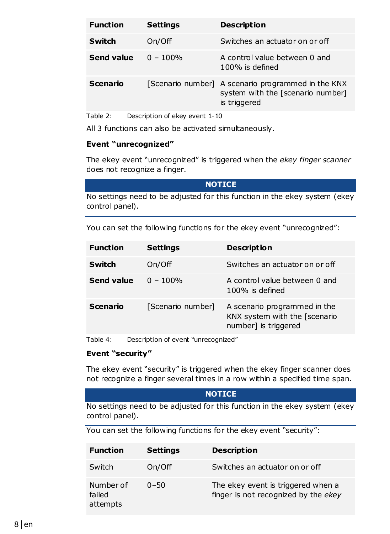| <b>Function</b> | Settings    | <b>Description</b>                                                                                      |
|-----------------|-------------|---------------------------------------------------------------------------------------------------------|
| Switch          | On/Off      | Switches an actuator on or off                                                                          |
| Send value      | $0 - 100\%$ | A control value between 0 and<br>$100\%$ is defined                                                     |
| Scenario        |             | [Scenario number] A scenario programmed in the KNX<br>system with the [scenario number]<br>is triggered |

Table 2: Description of ekey event 1-10

All 3 functions can also be activated simultaneously.

#### **Event "unrecognized"**

The ekey event "unrecognized" is triggered when the *ekey finger scanner* does not recognize a finger.

#### **NOTICE**

No settings need to be adjusted for this function in the ekey system (ekey control panel).

You can set the following functions for the ekey event "unrecognized":

| <b>Function</b> | Settings          | <b>Description</b>                                                                    |
|-----------------|-------------------|---------------------------------------------------------------------------------------|
| Switch          | On/Off            | Switches an actuator on or off                                                        |
| Send value      | $0 - 100\%$       | A control value between 0 and<br>$100\%$ is defined                                   |
| Scenario        | [Scenario number] | A scenario programmed in the<br>KNX system with the [scenario<br>number] is triggered |

Table 4: Description of event "unrecognized"

#### **Event "security"**

The ekey event "security" is triggered when the ekey finger scanner does not recognize a finger several times in a row within a specified time span.

#### **NOTICE**

No settings need to be adjusted for this function in the ekey system (ekey control panel).

You can set the following functions for the ekey event "security":

| <b>Function</b>                 | Settings | <b>Description</b>                                                         |
|---------------------------------|----------|----------------------------------------------------------------------------|
| Switch                          | On/Off   | Switches an actuator on or off                                             |
| Number of<br>failed<br>attempts | $0 - 50$ | The ekey event is triggered when a<br>finger is not recognized by the ekey |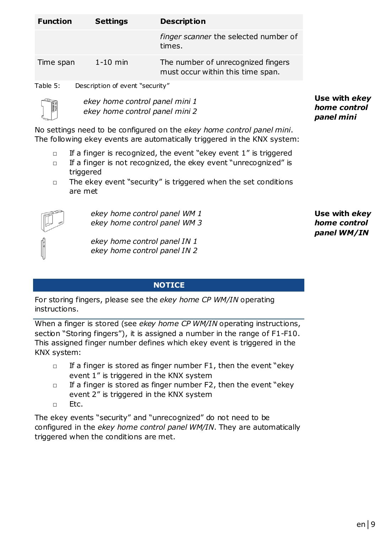| <b>Function</b> | Settings                        | <b>Description</b>                                                      |  |
|-----------------|---------------------------------|-------------------------------------------------------------------------|--|
|                 |                                 | finger scanner the selected number of<br>times.                         |  |
| Time span       | $1-10$ min                      | The number of unrecognized fingers<br>must occur within this time span. |  |
| Table 5:        | Description of event "security" |                                                                         |  |
|                 | ekey home control panel mini 1  |                                                                         |  |

**Use with** *ekey home control panel mini*

No settings need to be configured on the *ekey home control panel mini*. The following ekey events are automatically triggered in the KNX system:

- $\Box$  If a finger is recognized, the event "ekey event 1" is triggered
- □ If a finger is not recognized, the ekey event "unrecognized" is triggered
- □ The ekey event "security" is triggered when the set conditions are met



*ekey home control panel WM 1 ekey home control panel WM 3* 

*ekey home control panel mini 2* 

*ekey home control panel IN 1 ekey home control panel IN 2* 

**NOTICE** 

For storing fingers, please see the *ekey home CP WM/IN* operating instructions.

When a finger is stored (see *ekey home CP WM/IN* operating instructions, section "Storing fingers"), it is assigned a number in the range of F1-F10. This assigned finger number defines which ekey event is triggered in the KNX system:

- $\Box$  If a finger is stored as finger number F1, then the event "ekey" event 1" is triggered in the KNX system
- □ If a finger is stored as finger number F2, then the event "ekey event 2" is triggered in the KNX system
- □ Etc.

The ekey events "security" and "unrecognized" do not need to be configured in the *ekey home control panel WM/IN*. They are automatically triggered when the conditions are met.

**Use with** *ekey home control panel WM/IN*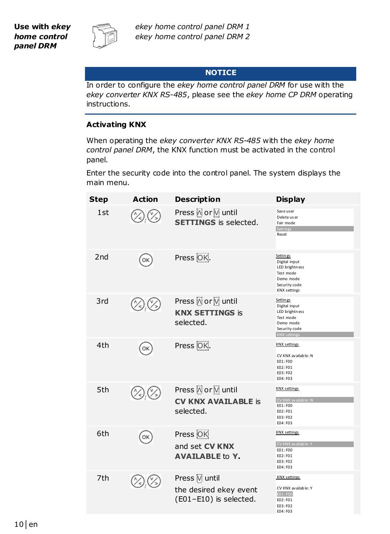

#### **NOTICE**

In order to configure the *ekey home control panel DRM* for use with the *ekey converter KNX RS-485*, please see the *ekey home CP DRM* operating instructions.

#### **Activating KNX**

When operating the *ekey converter KNX RS-485* with the *ekey home control panel DRM*, the KNX function must be activated in the control panel.

Enter the security code into the control panel. The system displays the main menu.

| Step | <b>Action</b> | <b>Description</b>                                               | <b>Display</b>                                                                                                 |
|------|---------------|------------------------------------------------------------------|----------------------------------------------------------------------------------------------------------------|
| 1st  |               | Press A or V until<br><b>SETTINGS</b> is selected.               | Save user<br>Delete us er<br>Fair mode<br>Sett ings<br>Reset                                                   |
| 2nd  | OK            | Press OK.                                                        | Settin gs<br>Digital input<br>LED brightness<br>Test mode<br>Demo mode<br>Security code<br><b>KNX settings</b> |
| 3rd  |               | Press A or V until<br><b>KNX SETTINGS is</b><br>selected.        | Settin gs<br>Digital input<br>LED brightness<br>Test mode<br>Demo mode<br>Security code<br><b>KNX settings</b> |
| 4th  | OK            | Press OK.                                                        | <b>KNX</b> settings<br>CV KNX available: N<br>E01: F00<br>E02: F01<br>E03: F02<br>E04: F03                     |
| 5th  |               | Press \ or \ until<br><b>CV KNX AVAILABLE is</b><br>selected.    | <b>KNX</b> settings<br>CV KNX available: N<br>E01: F00<br>E02: F01<br>E03: F02<br>E04: F03                     |
| 6th  | ОK            | Press OK<br>and set CV KNX<br><b>AVAILABLE to Y.</b>             | <b>KNX</b> settings<br>CV KNX available: Y<br>E01: F00<br>E02: F01<br>E03: F02<br>E04: F03                     |
| 7th  |               | Press Muntil<br>the desired ekey event<br>(E01-E10) is selected. | <b>KNX</b> settings<br>CV KNX available: Y<br>E01: F00<br>E02: F01<br>E03: F02<br>E04: F03                     |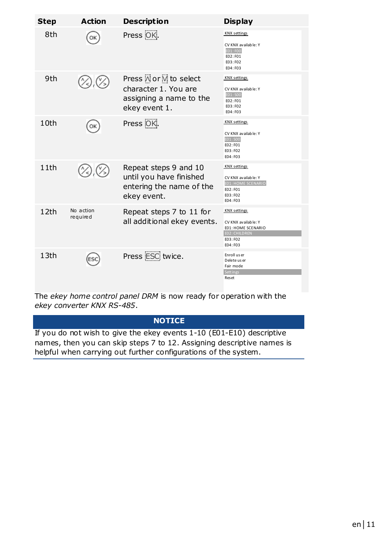| Step             | Action                | <b>Description</b>                                                                          | <b>Display</b>                                                                                           |
|------------------|-----------------------|---------------------------------------------------------------------------------------------|----------------------------------------------------------------------------------------------------------|
| 8th              |                       | Press OK.                                                                                   | <b>KNX</b> settings<br>CV KNX available: Y<br>EO1: FOO<br>E02: F01<br>E03: F02<br>E04: F03               |
| 9th              |                       | Press Mor V to select<br>character 1. You are<br>assigning a name to the<br>ekey event 1.   | <b>KNX</b> settings<br>CV KNX available: Y<br>E01: S00<br>F02: F01<br>E03: F02<br>E04: F03               |
| 10th             |                       | Press <sup>OK</sup> .                                                                       | <b>KNX</b> settings<br>CV KNX available: Y<br>EO1: SOO<br>E02: F01<br>E03: F02<br>F04: F03               |
| 11th             |                       | Repeat steps 9 and 10<br>until you have finished<br>entering the name of the<br>ekey event. | <b>KNX</b> settings<br>CV KNX available: Y<br>E01: HOME SCENARIO<br>F02: F01<br>E03: F02<br>E04: F03     |
| 12th             | No action<br>required | Repeat steps 7 to 11 for<br>all additional ekey events.                                     | <b>KNX</b> settings<br>CV KNX available: Y<br>E01: HOME SCENARIO<br>E02: CHILDREN<br>FO3:FO2<br>F04: F03 |
| 13 <sub>th</sub> |                       | Press ESC twice.                                                                            | Enroll us er<br>Delete us er<br>Fair mode<br>Sett in es<br>Reset                                         |

The *ekey home control panel DRM* is now ready for operation with the *ekey converter KNX RS-485*.

### **NOTICE**

If you do not wish to give the ekey events 1-10 (E01-E10) descriptive names, then you can skip steps 7 to 12. Assigning descriptive names is helpful when carrying out further configurations of the system.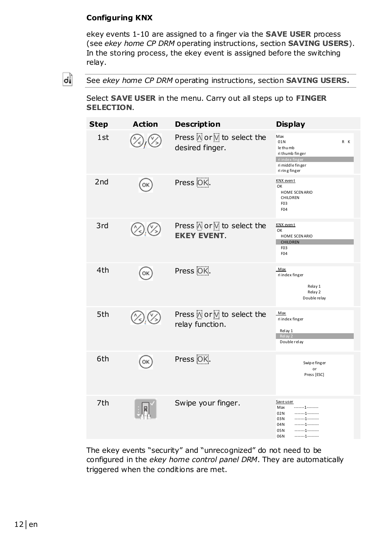#### **Configuring KNX**

ekey events 1-10 are assigned to a finger via the **SAVE USER** process (see *ekey home CP DRM* operating instructions, section **SAVING USERS**). In the storing process, the ekey event is assigned before the switching relay.

dÌ

See *ekey home CP DRM* operating instructions, section **SAVING USERS.** 

Select **SAVE USER** in the menu. Carry out all steps up to **FINGER SELECTION**.

| <b>Step</b> | <b>Action</b> | <b>Description</b>                              | <b>Display</b>                                                                                             |
|-------------|---------------|-------------------------------------------------|------------------------------------------------------------------------------------------------------------|
| 1st         |               | Press Nor M to select the<br>desired finger.    | Max<br>01N<br>R K<br>le thu mb<br>ri thumb finger<br>ri index finger<br>ri middle finger<br>ri ring finger |
| 2nd         | OK            | Press OK.                                       | KNX event<br>OK<br>HOME SCEN ARIO<br>CHILDREN<br>F <sub>0</sub> 3<br>F04                                   |
| 3rd         |               | Press Nor M to select the<br><b>EKEY EVENT.</b> | KNX even t<br>OK<br>HOME SCEN ARIO<br><b>CHILDREN</b><br>F <sub>0</sub> 3<br>F04                           |
| 4th         | OK            | Press <sub>OK</sub> .                           | Max<br>ri index finger<br>Relay 1<br>Relay 2<br>Double relay                                               |
| 5th         |               | Press Nor M to select the<br>relay function.    | Max<br>ri index finger<br>Relay 1<br>Relay 2<br>Double relay                                               |
| 6th         | OK            | Press OK.                                       | Swipe finger<br>or<br>Press [ESC]                                                                          |
| 7th         |               | Swipe your finger.                              | Save user<br>Max<br>. 1<br>02N<br>1<br>1<br>03N<br>1<br>04N<br>05N<br>. 1<br>1<br>06N                      |

The ekey events "security" and "unrecognized" do not need to be configured in the *ekey home control panel DRM*. They are automatically triggered when the conditions are met.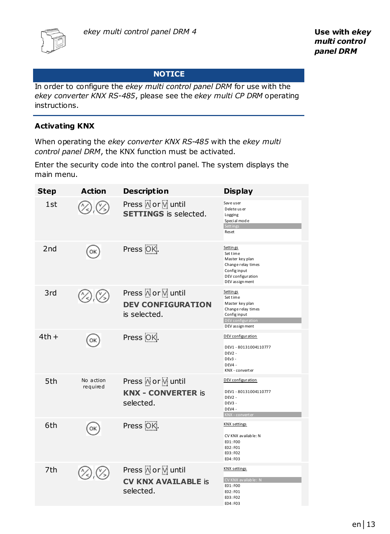

#### **NOTICE**

In order to configure the *ekey multi control panel DRM* for use with the *ekey converter KNX RS-485*, please see the *ekey multi CP DRM* operating instructions.

#### **Activating KNX**

When operating the *ekey converter KNX RS-485* with the *ekey multi control panel DRM*, the KNX function must be activated.

Enter the security code into the control panel. The system displays the main menu.

| <b>Step</b> | <b>Action</b>         | <b>Description</b>                                             | <b>Display</b>                                                                                                               |
|-------------|-----------------------|----------------------------------------------------------------|------------------------------------------------------------------------------------------------------------------------------|
| 1st         |                       | <b>SETTINGS</b> is selected.                                   | Save user<br>Delete us er<br>Logging<br>Special mode<br>Sett ings<br>Reset                                                   |
| 2nd         | OK                    | Press OK.                                                      | <b>Settings</b><br>Set time<br>Master key plan<br>Change relay times<br>Config input<br>DEV configuration<br>DEV assign ment |
| 3rd         |                       | Press A or V until<br><b>DEV CONFIGURATION</b><br>is selected. | Settin gs<br>Set time<br>Master key plan<br>Change relay times<br>Config input<br>DEV configuration<br>DEV assign ment       |
| $4th +$     | ОК                    | Press <sub>OK</sub> .                                          | DEV configuration<br>DEV1 - 80131004110777<br>$DFV2 -$<br>$DEV3 -$<br>DEV4 -<br>KNX - convert er                             |
| 5th         | No action<br>required | <b>KNX - CONVERTER is</b><br>selected.                         | DEV configuration<br>DEV1-80131004110777<br>DEV <sub>2</sub> -<br>DEV3 -<br>DEV4 -<br>KNX - convert er                       |
| 6th         | ОК                    | Press OK.                                                      | <b>KNX</b> settings<br>CV KNX available: N<br>E01: F00<br>E02:F01<br>E03: F02<br>E04: F03                                    |
| 7th         |                       | Press A or V until<br><b>CV KNX AVAILABLE is</b><br>selected.  | <b>KNX</b> settings<br>CV KNX available: N<br>E01:F00<br>E02: F01<br>E03: F02<br>E04: F03                                    |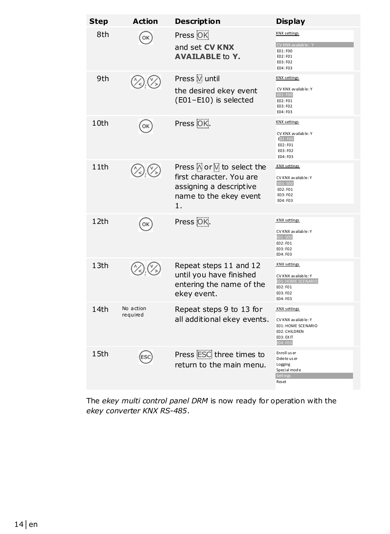| <b>Step</b> | <b>Action</b>         | <b>Description</b>                                                                                                | <b>Display</b>                                                                                              |
|-------------|-----------------------|-------------------------------------------------------------------------------------------------------------------|-------------------------------------------------------------------------------------------------------------|
| 8th         |                       | Press OK<br>and set CV KNX<br><b>AVAILABLE to Y.</b>                                                              | <b>KNX</b> settings<br>CV KNX available:<br>E01: F00<br>E02: F01                                            |
|             |                       |                                                                                                                   | E03: F02<br>E04: F03                                                                                        |
| 9th         |                       | Press V until<br>the desired ekey event<br>(E01-E10) is selected                                                  | <b>KNX</b> settings<br>CV KNX available: Y<br>E01: F00<br>E02: F01<br>E03: F02<br>E04: F03                  |
| 10th        | OK                    | Press OK.                                                                                                         | <b>KNX</b> settings<br>CV KNX available: Y<br>E01:F00<br>E02: F01<br>E03: F02<br>E04: F03                   |
| 11th        |                       | Press N or M to select the<br>first character. You are<br>assigning a descriptive<br>name to the ekey event<br>1. | <b>KNX</b> settings<br>CV KNX available: Y<br>E01: SOO<br>E02:F01<br>E03: F02<br>E04: F03                   |
| 12th        | OK                    | Press OK.                                                                                                         | <b>KNX</b> settings<br>CV KNX available: Y<br>E01: SOO<br>E02: F01<br>E03: F02<br>E04: F03                  |
| 13th        |                       | Repeat steps 11 and 12<br>until you have finished<br>entering the name of the<br>ekey event.                      | <b>KNX</b> settings<br>CV KNX available: Y<br><b>E01: HOME SCENARIO</b><br>E02: F01<br>E03: F02<br>E04: F03 |
| 14th        | No action<br>required | Repeat steps 9 to 13 for<br>all additional ekey events.                                                           | <b>KNX</b> settings<br>CV KNX available: Y<br>E01: HOME SCENARIO<br>E02: CHILDREN<br>EO3: EX IT<br>E04: F03 |
| 15th        |                       | Press ESC three times to<br>return to the main menu.                                                              | Enroll us er<br>Delete us er<br>Logging<br>Special mode<br><b>Settings</b><br>Reset                         |

The *ekey multi control panel DRM* is now ready for operation with the *ekey converter KNX RS-485*.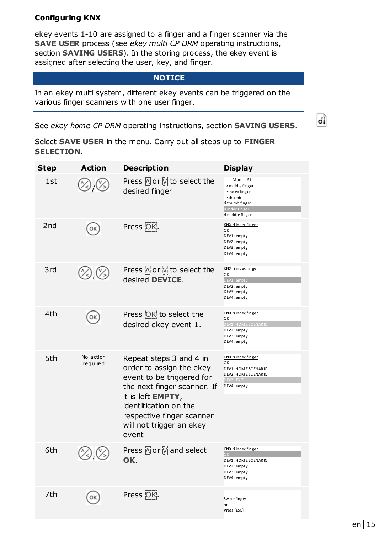#### **Configuring KNX**

ekey events 1-10 are assigned to a finger and a finger scanner via the **SAVE USER** process (see *ekey multi CP DRM* operating instructions, section **SAVING USERS**). In the storing process, the ekey event is assigned after selecting the user, key, and finger.

#### **NOTICE**

In an ekey multi system, different ekey events can be triggered on the various finger scanners with one user finger.

See *ekey home CP DRM* operating instructions, section **SAVING USERS.** 



Select **SAVE USER** in the menu. Carry out all steps up to **FINGER SELECTION**.

| Step | <b>Action</b>         | <b>Description</b>                                                                                                                                                                                                              | <b>Display</b>                                                                                                                        |
|------|-----------------------|---------------------------------------------------------------------------------------------------------------------------------------------------------------------------------------------------------------------------------|---------------------------------------------------------------------------------------------------------------------------------------|
| 1st  |                       | Press A or V to select the<br>desired finger                                                                                                                                                                                    | M ax<br>S <sub>1</sub><br>le middle finger<br>le ind ex finger<br>le thu mb<br>ri thumb finger<br>ri index finger<br>ri middle finger |
| 2nd  | ОΚ                    | Press <sup>OK</sup> .                                                                                                                                                                                                           | KNX ri index finger<br>OK<br>DEV1: empty<br>DEV2: empty<br>DEV3: empty<br>DEV4: empty                                                 |
| 3rd  |                       | Press A or V to select the<br>desired DEVICE.                                                                                                                                                                                   | KNX ri index finger<br>OK<br>DEV1: empt<br>DEV2: empty<br>DEV3: empty<br>DEV4: empty                                                  |
| 4th  |                       | Press OK to select the<br>desired ekey event 1.                                                                                                                                                                                 | KNX ri index finger<br>OK<br><b>DEV1: HOME SCENARIC</b><br>DEV2: empty<br>DEV3: empty<br>DEV4: empty                                  |
| 5th  | No action<br>required | Repeat steps 3 and 4 in<br>order to assign the ekey<br>event to be triggered for<br>the next finger scanner. If<br>it is left EMPTY,<br>identification on the<br>respective finger scanner<br>will not trigger an ekey<br>event | KNX ri index finger<br>OK<br>DEV1: HOM E SC ENAR IO<br>DEV2: HOM E SC ENAR IO<br>DEV3: EXIT<br>DEV4: empty                            |
| 6th  |                       | Press Nor V and select<br>OK.                                                                                                                                                                                                   | KNX ri index finger<br>$\Omega$<br>DEV1: HOM E SC ENAR IO<br>DEV2: empty<br>DEV3: empty<br>DEV4: empty                                |
| 7th  |                       | Press OK.                                                                                                                                                                                                                       | Swip e finger<br>or<br>Press [ESC]                                                                                                    |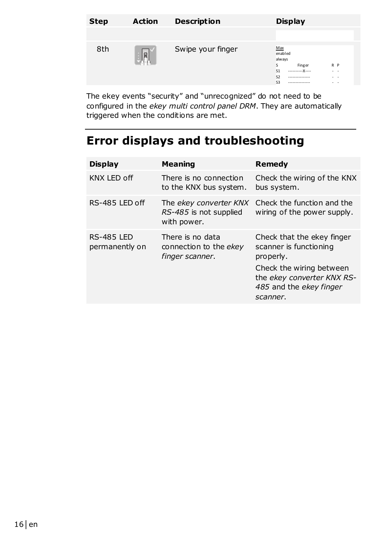| <b>Step</b> | <b>Action</b> | <b>Description</b> | <b>Display</b>                                                                                                                                                |  |
|-------------|---------------|--------------------|---------------------------------------------------------------------------------------------------------------------------------------------------------------|--|
|             |               |                    |                                                                                                                                                               |  |
| 8th         | lo            | Swipe your finger  | Max<br>enabled<br>always<br>s<br>R P<br>Finger<br>S <sub>1</sub><br>. .<br>\$2<br>---------------<br>. .<br>S <sub>3</sub><br>$\sim$ $\sim$<br>-------------- |  |
|             |               |                    |                                                                                                                                                               |  |

The ekey events "security" and "unrecognized" do not need to be configured in the *ekey multi control panel DRM*. They are automatically triggered when the conditions are met.

# **Error displays and troubleshooting**

| <b>Display</b>                      | Meaning                                                         | Remedy                                                                                                                                                             |
|-------------------------------------|-----------------------------------------------------------------|--------------------------------------------------------------------------------------------------------------------------------------------------------------------|
| KNX LED off                         | There is no connection<br>to the KNX bus system.                | Check the wiring of the KNX<br>bus system.                                                                                                                         |
| RS-485 LED off                      | The ekey converter KNX<br>RS-485 is not supplied<br>with power. | Check the function and the<br>wiring of the power supply.                                                                                                          |
| <b>RS-485 LED</b><br>permanently on | There is no data<br>connection to the ekey<br>finger scanner.   | Check that the ekey finger<br>scanner is functioning<br>properly.<br>Check the wiring between<br>the ekey converter KNX RS-<br>485 and the ekey finger<br>scanner. |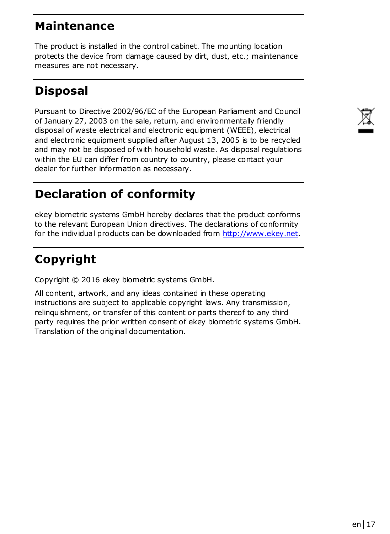### **Maintenance**

The product is installed in the control cabinet. The mounting location protects the device from damage caused by dirt, dust, etc.; maintenance measures are not necessary.

# **Disposal**

Pursuant to Directive 2002/96/EC of the European Parliament and Council of January 27, 2003 on the sale, return, and environmentally friendly disposal of waste electrical and electronic equipment (WEEE), electrical and electronic equipment supplied after August 13, 2005 is to be recycled and may not be disposed of with household waste. As disposal regulations within the EU can differ from country to country, please contact your dealer for further information as necessary.

# **Declaration of conformity**

ekey biometric systems GmbH hereby declares that the product conforms to the relevant European Union directives. The declarations of conformity for the individual products can be downloaded from http://www.ekey.net.

# **Copyright**

Copyright © 2016 ekey biometric systems GmbH.

All content, artwork, and any ideas contained in these operating instructions are subject to applicable copyright laws. Any transmission, relinquishment, or transfer of this content or parts thereof to any third party requires the prior written consent of ekey biometric systems GmbH. Translation of the original documentation.